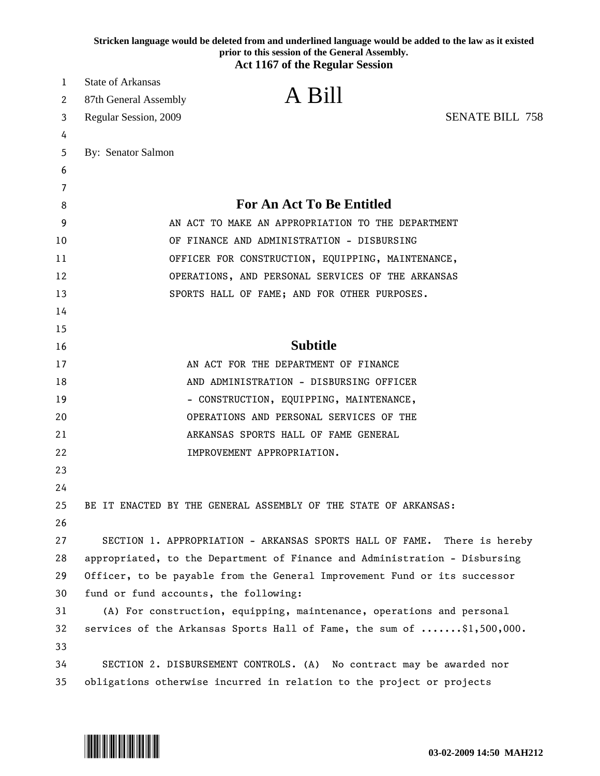|        | Stricken language would be deleted from and underlined language would be added to the law as it existed<br>prior to this session of the General Assembly. |
|--------|-----------------------------------------------------------------------------------------------------------------------------------------------------------|
|        | <b>Act 1167 of the Regular Session</b>                                                                                                                    |
| 1      | <b>State of Arkansas</b><br>A Bill                                                                                                                        |
| 2      | 87th General Assembly                                                                                                                                     |
| 3      | <b>SENATE BILL 758</b><br>Regular Session, 2009                                                                                                           |
| 4      |                                                                                                                                                           |
| 5      | By: Senator Salmon                                                                                                                                        |
| 6      |                                                                                                                                                           |
| 7<br>8 | <b>For An Act To Be Entitled</b>                                                                                                                          |
| 9      | AN ACT TO MAKE AN APPROPRIATION TO THE DEPARTMENT                                                                                                         |
| 10     | OF FINANCE AND ADMINISTRATION - DISBURSING                                                                                                                |
| 11     | OFFICER FOR CONSTRUCTION, EQUIPPING, MAINTENANCE,                                                                                                         |
| 12     | OPERATIONS, AND PERSONAL SERVICES OF THE ARKANSAS                                                                                                         |
| 13     | SPORTS HALL OF FAME; AND FOR OTHER PURPOSES.                                                                                                              |
| 14     |                                                                                                                                                           |
| 15     |                                                                                                                                                           |
| 16     | <b>Subtitle</b>                                                                                                                                           |
| 17     | AN ACT FOR THE DEPARTMENT OF FINANCE                                                                                                                      |
| 18     | AND ADMINISTRATION - DISBURSING OFFICER                                                                                                                   |
| 19     | - CONSTRUCTION, EQUIPPING, MAINTENANCE,                                                                                                                   |
| 20     | OPERATIONS AND PERSONAL SERVICES OF THE                                                                                                                   |
| 21     | ARKANSAS SPORTS HALL OF FAME GENERAL                                                                                                                      |
| 22     | IMPROVEMENT APPROPRIATION.                                                                                                                                |
| 23     |                                                                                                                                                           |
| 24     |                                                                                                                                                           |
| 25     | BE IT ENACTED BY THE GENERAL ASSEMBLY OF THE STATE OF ARKANSAS:                                                                                           |
| 26     |                                                                                                                                                           |
| 27     | SECTION 1. APPROPRIATION - ARKANSAS SPORTS HALL OF FAME. There is hereby                                                                                  |
| 28     | appropriated, to the Department of Finance and Administration - Disbursing                                                                                |
| 29     | Officer, to be payable from the General Improvement Fund or its successor                                                                                 |
| 30     | fund or fund accounts, the following:                                                                                                                     |
| 31     | (A) For construction, equipping, maintenance, operations and personal                                                                                     |
| 32     | services of the Arkansas Sports Hall of Fame, the sum of \$1,500,000.                                                                                     |
| 33     |                                                                                                                                                           |
| 34     | SECTION 2. DISBURSEMENT CONTROLS. (A) No contract may be awarded nor                                                                                      |
| 35     | obligations otherwise incurred in relation to the project or projects                                                                                     |

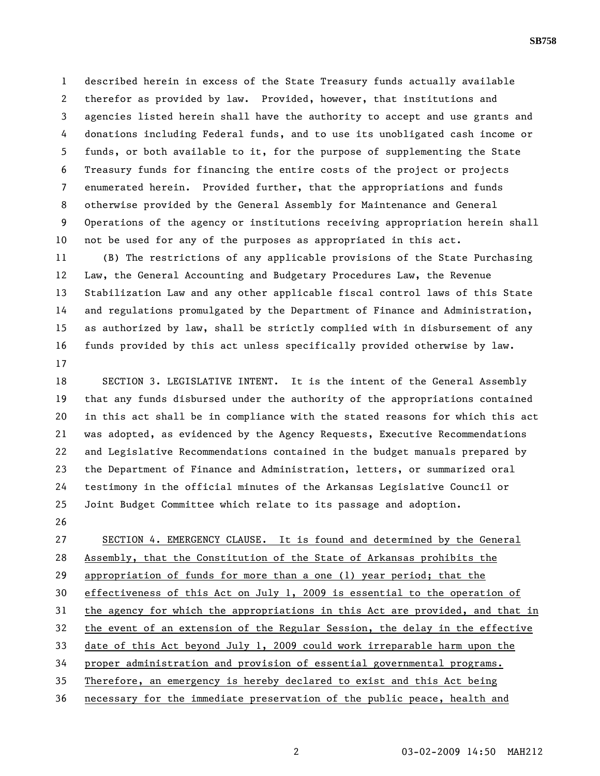1 described herein in excess of the State Treasury funds actually available 2 therefor as provided by law. Provided, however, that institutions and 3 agencies listed herein shall have the authority to accept and use grants and 4 donations including Federal funds, and to use its unobligated cash income or 5 funds, or both available to it, for the purpose of supplementing the State 6 Treasury funds for financing the entire costs of the project or projects 7 enumerated herein. Provided further, that the appropriations and funds 8 otherwise provided by the General Assembly for Maintenance and General 9 Operations of the agency or institutions receiving appropriation herein shall 10 not be used for any of the purposes as appropriated in this act.

11 (B) The restrictions of any applicable provisions of the State Purchasing 12 Law, the General Accounting and Budgetary Procedures Law, the Revenue 13 Stabilization Law and any other applicable fiscal control laws of this State 14 and regulations promulgated by the Department of Finance and Administration, 15 as authorized by law, shall be strictly complied with in disbursement of any 16 funds provided by this act unless specifically provided otherwise by law. 17

18 SECTION 3. LEGISLATIVE INTENT. It is the intent of the General Assembly 19 that any funds disbursed under the authority of the appropriations contained 20 in this act shall be in compliance with the stated reasons for which this act 21 was adopted, as evidenced by the Agency Requests, Executive Recommendations 22 and Legislative Recommendations contained in the budget manuals prepared by 23 the Department of Finance and Administration, letters, or summarized oral 24 testimony in the official minutes of the Arkansas Legislative Council or 25 Joint Budget Committee which relate to its passage and adoption.

26

27 SECTION 4. EMERGENCY CLAUSE. It is found and determined by the General 28 Assembly, that the Constitution of the State of Arkansas prohibits the 29 appropriation of funds for more than a one (1) year period; that the 30 effectiveness of this Act on July 1, 2009 is essential to the operation of 31 the agency for which the appropriations in this Act are provided, and that in 32 the event of an extension of the Regular Session, the delay in the effective 33 date of this Act beyond July 1, 2009 could work irreparable harm upon the 34 proper administration and provision of essential governmental programs. 35 Therefore, an emergency is hereby declared to exist and this Act being 36 necessary for the immediate preservation of the public peace, health and

**SB758**